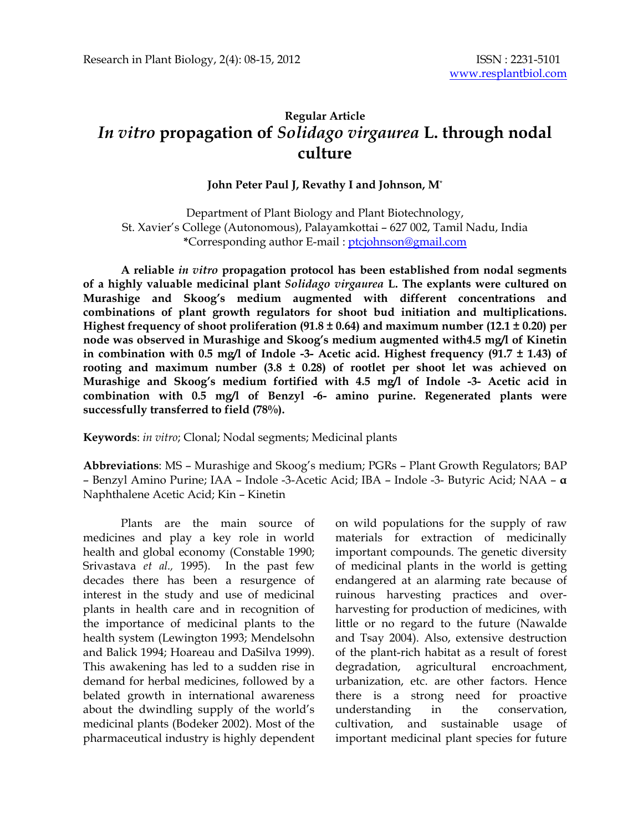# **Regular Article**  *In vitro* **propagation of** *Solidago virgaurea* **L. through nodal culture**

### **John Peter Paul J, Revathy I and Johnson, M**\*

Department of Plant Biology and Plant Biotechnology, St. Xavier's College (Autonomous), Palayamkottai – 627 002, Tamil Nadu, India **\***Corresponding author E-mail : ptcjohnson@gmail.com

**A reliable** *in vitro* **propagation protocol has been established from nodal segments of a highly valuable medicinal plant** *Solidago virgaurea* **L. The explants were cultured on Murashige and Skoog's medium augmented with different concentrations and combinations of plant growth regulators for shoot bud initiation and multiplications. Highest frequency of shoot proliferation (91.8 ± 0.64) and maximum number (12.1 ± 0.20) per node was observed in Murashige and Skoog's medium augmented with4.5 mg/l of Kinetin in combination with 0.5 mg/l of Indole -3- Acetic acid. Highest frequency (91.7 ± 1.43) of rooting and maximum number (3.8 ± 0.28) of rootlet per shoot let was achieved on Murashige and Skoog's medium fortified with 4.5 mg/l of Indole -3- Acetic acid in combination with 0.5 mg/l of Benzyl -6- amino purine. Regenerated plants were successfully transferred to field (78%).** 

**Keywords**: *in vitro*; Clonal; Nodal segments; Medicinal plants

**Abbreviations**: MS – Murashige and Skoog's medium; PGRs – Plant Growth Regulators; BAP – Benzyl Amino Purine; IAA – Indole -3-Acetic Acid; IBA – Indole -3- Butyric Acid; NAA – **α** Naphthalene Acetic Acid; Kin – Kinetin

Plants are the main source of medicines and play a key role in world health and global economy (Constable 1990; Srivastava *et al.,* 1995). In the past few decades there has been a resurgence of interest in the study and use of medicinal plants in health care and in recognition of the importance of medicinal plants to the health system (Lewington 1993; Mendelsohn and Balick 1994; Hoareau and DaSilva 1999). This awakening has led to a sudden rise in demand for herbal medicines, followed by a belated growth in international awareness about the dwindling supply of the world's medicinal plants (Bodeker 2002). Most of the pharmaceutical industry is highly dependent on wild populations for the supply of raw materials for extraction of medicinally important compounds. The genetic diversity of medicinal plants in the world is getting endangered at an alarming rate because of ruinous harvesting practices and overharvesting for production of medicines, with little or no regard to the future (Nawalde and Tsay 2004). Also, extensive destruction of the plant-rich habitat as a result of forest degradation, agricultural encroachment, urbanization, etc. are other factors. Hence there is a strong need for proactive understanding in the conservation, cultivation, and sustainable usage of important medicinal plant species for future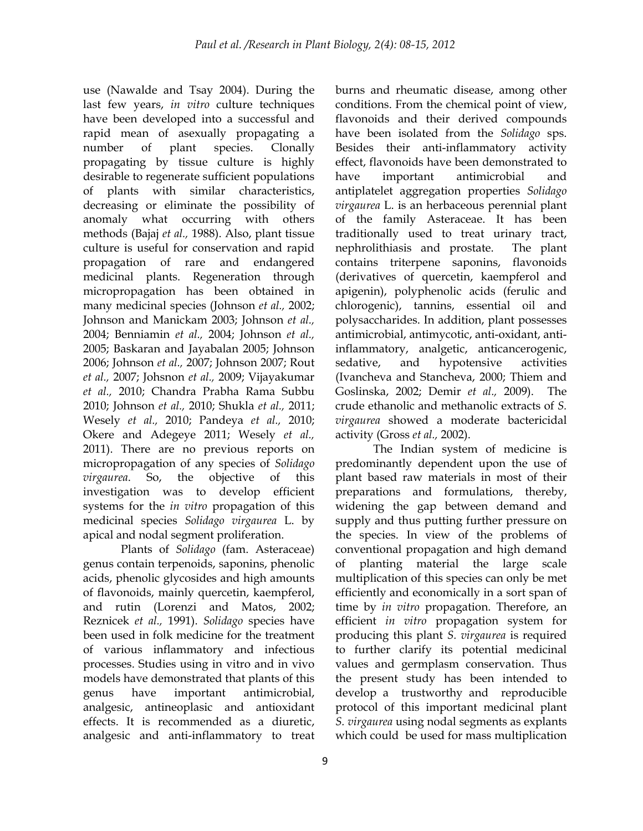use (Nawalde and Tsay 2004). During the last few years, *in vitro* culture techniques have been developed into a successful and rapid mean of asexually propagating a number of plant species. Clonally propagating by tissue culture is highly desirable to regenerate sufficient populations of plants with similar characteristics, decreasing or eliminate the possibility of anomaly what occurring with others methods (Bajaj *et al.,* 1988). Also, plant tissue culture is useful for conservation and rapid propagation of rare and endangered medicinal plants. Regeneration through micropropagation has been obtained in many medicinal species (Johnson *et al.,* 2002; Johnson and Manickam 2003; Johnson *et al.,* 2004; Benniamin *et al.,* 2004; Johnson *et al.,* 2005; Baskaran and Jayabalan 2005; Johnson 2006; Johnson *et al.,* 2007; Johnson 2007; Rout *et al.,* 2007; Johsnon *et al.,* 2009; Vijayakumar *et al.,* 2010; Chandra Prabha Rama Subbu 2010; Johnson *et al.,* 2010; Shukla *et al.,* 2011; Wesely *et al.,* 2010; Pandeya *et al.,* 2010; Okere and Adegeye 2011; Wesely *et al.,* 2011). There are no previous reports on micropropagation of any species of *Solidago virgaurea*. So, the objective of this investigation was to develop efficient systems for the *in vitro* propagation of this medicinal species *Solidago virgaurea* L. by apical and nodal segment proliferation.

Plants of *Solidago* (fam. Asteraceae) genus contain terpenoids, saponins, phenolic acids, phenolic glycosides and high amounts of flavonoids, mainly quercetin, kaempferol, and rutin (Lorenzi and Matos, 2002; Reznicek *et al.,* 1991). *Solidago* species have been used in folk medicine for the treatment of various inflammatory and infectious processes. Studies using in vitro and in vivo models have demonstrated that plants of this genus have important antimicrobial, analgesic, antineoplasic and antioxidant effects. It is recommended as a diuretic, analgesic and anti-inflammatory to treat burns and rheumatic disease, among other conditions. From the chemical point of view, flavonoids and their derived compounds have been isolated from the *Solidago* sps. Besides their anti-inflammatory activity effect, flavonoids have been demonstrated to have important antimicrobial and antiplatelet aggregation properties *Solidago virgaurea* L. is an herbaceous perennial plant of the family Asteraceae. It has been traditionally used to treat urinary tract, nephrolithiasis and prostate. The plant contains triterpene saponins, flavonoids (derivatives of quercetin, kaempferol and apigenin), polyphenolic acids (ferulic and chlorogenic), tannins, essential oil and polysaccharides. In addition, plant possesses antimicrobial, antimycotic, anti-oxidant, antiinflammatory, analgetic, anticancerogenic, sedative, and hypotensive activities (Ivancheva and Stancheva, 2000; Thiem and Goslinska, 2002; Demir *et al.,* 2009). The crude ethanolic and methanolic extracts of *S. virgaurea* showed a moderate bactericidal activity (Gross *et al.,* 2002).

The Indian system of medicine is predominantly dependent upon the use of plant based raw materials in most of their preparations and formulations, thereby, widening the gap between demand and supply and thus putting further pressure on the species. In view of the problems of conventional propagation and high demand of planting material the large scale multiplication of this species can only be met efficiently and economically in a sort span of time by *in vitro* propagation. Therefore, an efficient *in vitro* propagation system for producing this plant *S. virgaurea* is required to further clarify its potential medicinal values and germplasm conservation. Thus the present study has been intended to develop a trustworthy and reproducible protocol of this important medicinal plant *S. virgaurea* using nodal segments as explants which could be used for mass multiplication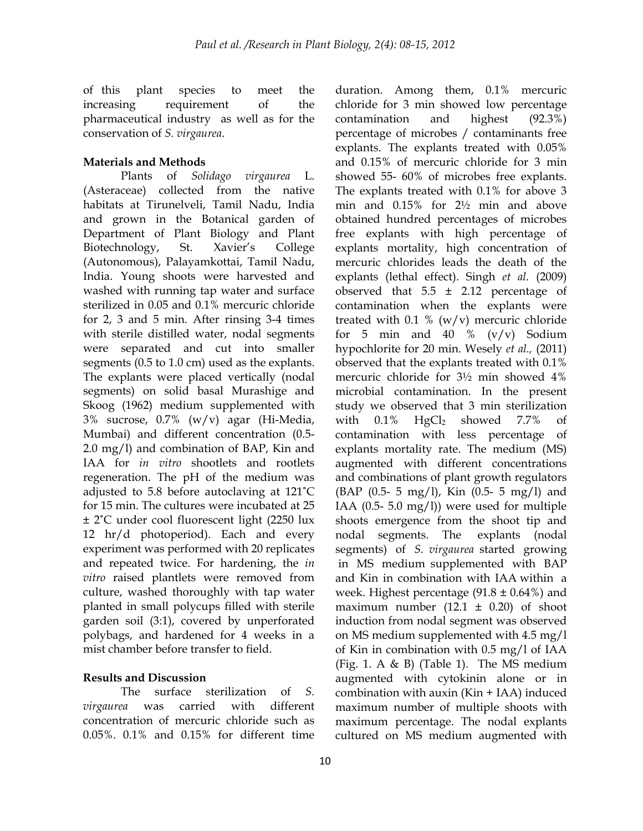of this plant species to meet the increasing requirement of the pharmaceutical industry as well as for the conservation of *S. virgaurea*.

## **Materials and Methods**

Plants of *Solidago virgaurea* L. (Asteraceae) collected from the native habitats at Tirunelveli, Tamil Nadu, India and grown in the Botanical garden of Department of Plant Biology and Plant Biotechnology, St. Xavier's College (Autonomous), Palayamkottai, Tamil Nadu, India. Young shoots were harvested and washed with running tap water and surface sterilized in 0.05 and 0.1% mercuric chloride for 2, 3 and 5 min. After rinsing 3-4 times with sterile distilled water, nodal segments were separated and cut into smaller segments (0.5 to 1.0 cm) used as the explants. The explants were placed vertically (nodal segments) on solid basal Murashige and Skoog (1962) medium supplemented with 3% sucrose, 0.7% (w/v) agar (Hi-Media, Mumbai) and different concentration (0.5- 2.0 mg/l) and combination of BAP, Kin and IAA for *in vitro* shootlets and rootlets regeneration. The pH of the medium was adjusted to 5.8 before autoclaving at 121˚C for 15 min. The cultures were incubated at 25 ± 2˚C under cool fluorescent light (2250 lux 12 hr/d photoperiod). Each and every experiment was performed with 20 replicates and repeated twice. For hardening, the *in vitro* raised plantlets were removed from culture, washed thoroughly with tap water planted in small polycups filled with sterile garden soil (3:1), covered by unperforated polybags, and hardened for 4 weeks in a mist chamber before transfer to field.

## **Results and Discussion**

 The surface sterilization of *S. virgaurea* was carried with different concentration of mercuric chloride such as 0.05%. 0.1% and 0.15% for different time duration. Among them, 0.1% mercuric chloride for 3 min showed low percentage contamination and highest (92.3%) percentage of microbes / contaminants free explants. The explants treated with 0.05% and 0.15% of mercuric chloride for 3 min showed 55- 60% of microbes free explants. The explants treated with 0.1% for above 3 min and 0.15% for 2½ min and above obtained hundred percentages of microbes free explants with high percentage of explants mortality, high concentration of mercuric chlorides leads the death of the explants (lethal effect). Singh *et al.* (2009) observed that  $5.5 \pm 2.12$  percentage of contamination when the explants were treated with 0.1 %  $(w/v)$  mercuric chloride for 5 min and 40  $\%$  (v/v) Sodium hypochlorite for 20 min. Wesely *et al.,* (2011) observed that the explants treated with 0.1% mercuric chloride for 3½ min showed 4% microbial contamination. In the present study we observed that 3 min sterilization with  $0.1\%$  HgCl<sub>2</sub> showed 7.7% of contamination with less percentage of explants mortality rate. The medium (MS) augmented with different concentrations and combinations of plant growth regulators (BAP (0.5- 5 mg/l), Kin (0.5- 5 mg/l) and IAA (0.5- 5.0 mg/l)) were used for multiple shoots emergence from the shoot tip and nodal segments. The explants (nodal segments) of *S. virgaurea* started growing in MS medium supplemented with BAP and Kin in combination with IAA within a week. Highest percentage  $(91.8 \pm 0.64\%)$  and maximum number  $(12.1 \pm 0.20)$  of shoot induction from nodal segment was observed on MS medium supplemented with 4.5 mg/l of Kin in combination with 0.5 mg/l of IAA (Fig. 1. A & B) (Table 1). The MS medium augmented with cytokinin alone or in combination with auxin (Kin + IAA) induced maximum number of multiple shoots with maximum percentage. The nodal explants cultured on MS medium augmented with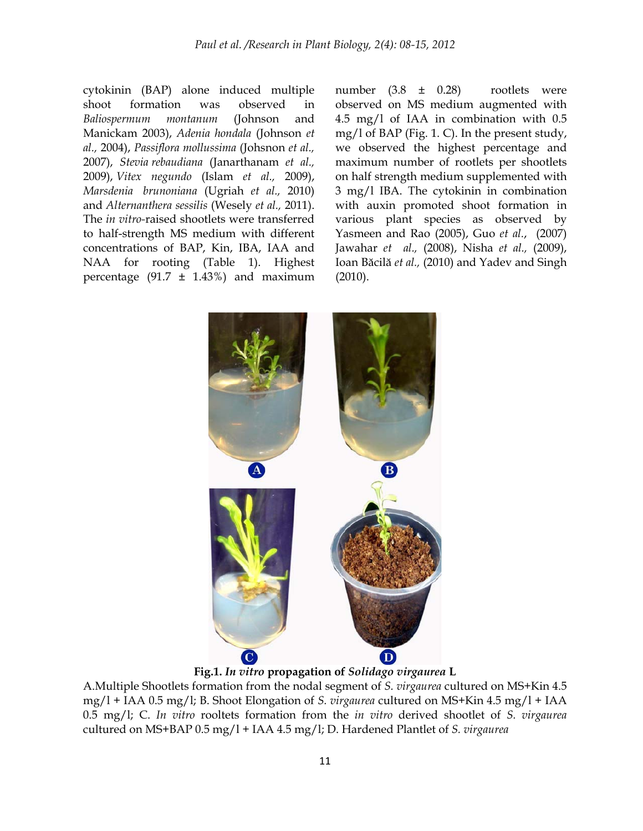cytokinin (BAP) alone induced multiple shoot formation was observed in *Baliospermum montanum* (Johnson and Manickam 2003), *Adenia hondala* (Johnson *et al.,* 2004), *Passiflora mollussima* (Johsnon *et al.,* 2007), *Stevia rebaudiana* (Janarthanam *et al.,* 2009), *Vitex negundo* (Islam *et al.,* 2009), *Marsdenia brunoniana* (Ugriah *et al.,* 2010) and *Alternanthera sessilis* (Wesely *et al.,* 2011). The *in vitro-*raised shootlets were transferred to half-strength MS medium with different concentrations of BAP, Kin, IBA, IAA and NAA for rooting (Table 1). Highest percentage  $(91.7 \pm 1.43%)$  and maximum number  $(3.8 \pm 0.28)$  rootlets were observed on MS medium augmented with 4.5 mg/l of IAA in combination with 0.5 mg/l of BAP (Fig. 1. C). In the present study, we observed the highest percentage and maximum number of rootlets per shootlets on half strength medium supplemented with 3 mg/l IBA. The cytokinin in combination with auxin promoted shoot formation in various plant species as observed by Yasmeen and Rao (2005), Guo *et al.*, (2007) Jawahar *et al.,* (2008), Nisha *et al.,* (2009), Ioan Băcilă *et al.,* (2010) and Yadev and Singh (2010).



**Fig.1.** *In vitro* **propagation of** *Solidago virgaurea* **L** 

A.Multiple Shootlets formation from the nodal segment of *S. virgaurea* cultured on MS+Kin 4.5 mg/l + IAA 0.5 mg/l; B. Shoot Elongation of *S. virgaurea* cultured on MS+Kin 4.5 mg/l + IAA 0.5 mg/l; C. *In vitro* rooltets formation from the *in vitro* derived shootlet of *S. virgaurea*  cultured on MS+BAP 0.5 mg/l + IAA 4.5 mg/l; D. Hardened Plantlet of *S. virgaurea*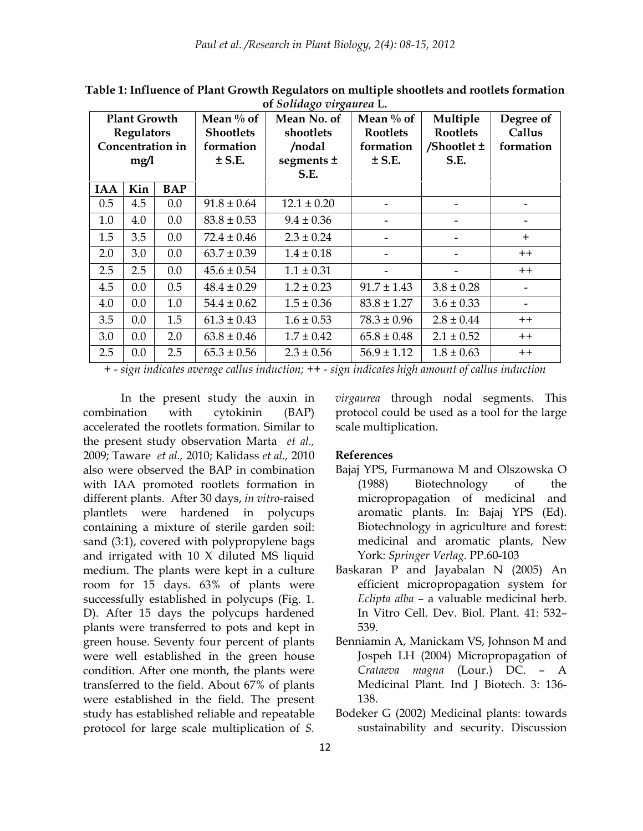| <b>Plant Growth</b><br><b>Regulators</b> |     |            | Mean $\%$ of<br><b>Shootlets</b> | Mean No. of<br>shootlets | Mean $\%$ of<br>Rootlets | Multiple<br><b>Rootlets</b> | Degree of<br>Callus |
|------------------------------------------|-----|------------|----------------------------------|--------------------------|--------------------------|-----------------------------|---------------------|
| Concentration in                         |     |            | formation                        | /nodal                   | formation                | /Shootlet $\pm$             | formation           |
| mg/1                                     |     |            | $±$ S.E.                         | segments ±               | $±$ S.E.                 | S.E.                        |                     |
|                                          |     |            |                                  | S.E.                     |                          |                             |                     |
| <b>IAA</b>                               | Kin | <b>BAP</b> |                                  |                          |                          |                             |                     |
| 0.5                                      | 4.5 | $0.0\,$    | $91.8 \pm 0.64$                  | $12.1 \pm 0.20$          |                          |                             |                     |
| 1.0                                      | 4.0 | 0.0        | $83.8 \pm 0.53$                  | $9.4 \pm 0.36$           |                          |                             |                     |
| 1.5                                      | 3.5 | 0.0        | $72.4 \pm 0.46$                  | $2.3 \pm 0.24$           |                          |                             | $+$                 |
| 2.0                                      | 3.0 | 0.0        | $63.7 \pm 0.39$                  | $1.4 \pm 0.18$           |                          |                             | $^+$                |
| 2.5                                      | 2.5 | 0.0        | $45.6 \pm 0.54$                  | $1.1 \pm 0.31$           |                          |                             | $++$                |
| 4.5                                      | 0.0 | 0.5        | $48.4 \pm 0.29$                  | $1.2 \pm 0.23$           | $91.7 \pm 1.43$          | $3.8 \pm 0.28$              |                     |
| 4.0                                      | 0.0 | 1.0        | $54.4 \pm 0.62$                  | $1.5 \pm 0.36$           | $83.8 \pm 1.27$          | $3.6 \pm 0.33$              |                     |
| 3.5                                      | 0.0 | 1.5        | $61.3 \pm 0.43$                  | $1.6 \pm 0.53$           | $78.3 \pm 0.96$          | $2.8 \pm 0.44$              | $^+$                |
| 3.0                                      | 0.0 | 2.0        | $63.8 \pm 0.46$                  | $1.7 \pm 0.42$           | $65.8 \pm 0.48$          | $2.1 \pm 0.52$              | $^{\mathrm{+}}$     |
| 2.5                                      | 0.0 | 2.5        | $65.3 \pm 0.56$                  | $2.3 \pm 0.56$           | $56.9 \pm 1.12$          | $1.8 \pm 0.63$              | $++$                |

**Table 1: Influence of Plant Growth Regulators on multiple shootlets and rootlets formation of** *Solidago virgaurea* **L.** 

*+ - sign indicates average callus induction; ++ - sign indicates high amount of callus induction* 

In the present study the auxin in combination with cytokinin (BAP) accelerated the rootlets formation. Similar to the present study observation Marta *et al.,* 2009; Taware *et al.,* 2010; Kalidass *et al.,* 2010 also were observed the BAP in combination with IAA promoted rootlets formation in different plants. After 30 days, *in vitro-*raised plantlets were hardened in polycups containing a mixture of sterile garden soil: sand (3:1), covered with polypropylene bags and irrigated with 10 X diluted MS liquid medium. The plants were kept in a culture room for 15 days. 63% of plants were successfully established in polycups (Fig. 1. D). After 15 days the polycups hardened plants were transferred to pots and kept in green house. Seventy four percent of plants were well established in the green house condition. After one month, the plants were transferred to the field. About 67% of plants were established in the field. The present study has established reliable and repeatable protocol for large scale multiplication of *S.* 

*virgaurea* through nodal segments. This protocol could be used as a tool for the large scale multiplication.

#### **References**

- Bajaj YPS, Furmanowa M and Olszowska O (1988) Biotechnology of the micropropagation of medicinal and aromatic plants. In: Bajaj YPS (Ed). Biotechnology in agriculture and forest: medicinal and aromatic plants, New York: *Springer Verlag.* PP.60-103
- Baskaran P and Jayabalan N (2005) An efficient micropropagation system for *Eclipta alba* – a valuable medicinal herb. In Vitro Cell. Dev. Biol. Plant. 41: 532– 539.
- Benniamin A, Manickam VS, Johnson M and Jospeh LH (2004) Micropropagation of *Crataeva magna* (Lour.) DC. – A Medicinal Plant. Ind J Biotech*.* 3: 136- 138.
- Bodeker G (2002) Medicinal plants: towards sustainability and security. Discussion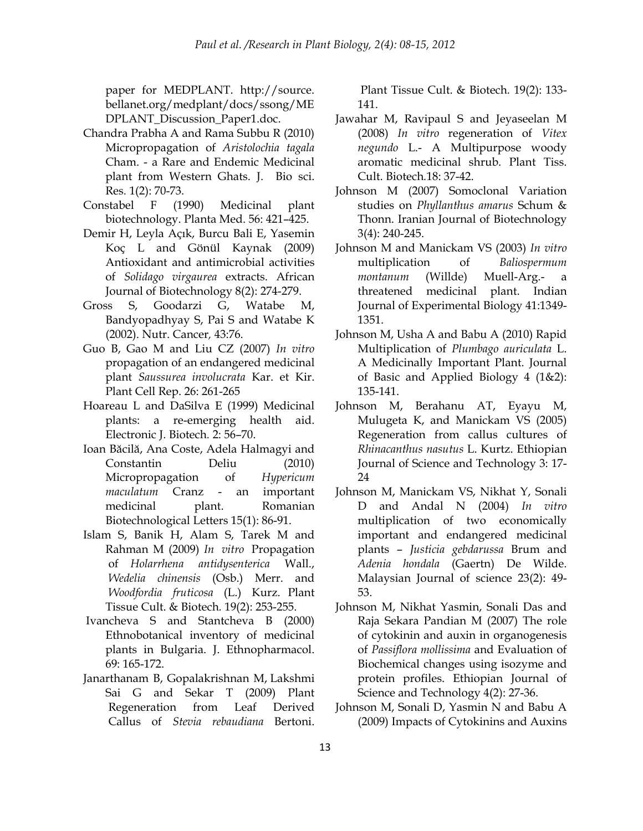paper for MEDPLANT. http://source. bellanet.org/medplant/docs/ssong/ME DPLANT\_Discussion\_Paper1.doc.

- Chandra Prabha A and Rama Subbu R (2010) Micropropagation of *Aristolochia tagala* Cham. - a Rare and Endemic Medicinal plant from Western Ghats. J. Bio sci. Res*.* 1(2): 70-73.
- Constabel F (1990) Medicinal plant biotechnology. Planta Med. 56: 421–425.
- Demir H, Leyla Açık, Burcu Bali E, Yasemin Koç L and Gönül Kaynak (2009) Antioxidant and antimicrobial activities of *Solidago virgaurea* extracts. African Journal of Biotechnology 8(2): 274-279.
- Gross S, Goodarzi G, Watabe M, Bandyopadhyay S, Pai S and Watabe K (2002). Nutr. Cancer*,* 43:76.
- Guo B, Gao M and Liu CZ (2007) *In vitro* propagation of an endangered medicinal plant *Saussurea involucrata* Kar. et Kir. Plant Cell Rep. 26: 261-265
- Hoareau L and DaSilva E (1999) Medicinal plants: a re-emerging health aid. Electronic J. Biotech*.* 2: 56–70.
- Ioan Băcilă, Ana Coste, Adela Halmagyi and Constantin Deliu (2010) Micropropagation of *Hypericum maculatum* Cranz - an important medicinal plant. Romanian Biotechnological Letters 15(1): 86-91.
- Islam S, Banik H, Alam S, Tarek M and Rahman M (2009) *In vitro* Propagation of *Holarrhena antidysenterica* Wall., *Wedelia chinensis* (Osb.) Merr. and *Woodfordia fruticosa* (L.) Kurz. Plant Tissue Cult. & Biotech*.* 19(2): 253-255.
- Ivancheva S and Stantcheva B (2000) Ethnobotanical inventory of medicinal plants in Bulgaria. J. Ethnopharmacol. 69: 165-172.
- Janarthanam B, Gopalakrishnan M, Lakshmi Sai G and Sekar T (2009) Plant Regeneration from Leaf Derived Callus of *Stevia rebaudiana* Bertoni.

 Plant Tissue Cult. & Biotech*.* 19(2): 133- 141.

- Jawahar M, Ravipaul S and Jeyaseelan M (2008) *In vitro* regeneration of *Vitex negundo* L.- A Multipurpose woody aromatic medicinal shrub. Plant Tiss. Cult. Biotech*.*18: 37-42.
- Johnson M (2007) Somoclonal Variation studies on *Phyllanthus amarus* Schum & Thonn. Iranian Journal of Biotechnology 3(4): 240-245.
- Johnson M and Manickam VS (2003) *In vitro* multiplication of *Baliospermum montanum* (Willde) Muell-Arg.- a threatened medicinal plant. Indian Journal of Experimental Biology 41:1349- 1351.
- Johnson M, Usha A and Babu A (2010) Rapid Multiplication of *Plumbago auriculata* L. A Medicinally Important Plant. Journal of Basic and Applied Biology 4 (1&2): 135-141.
- Johnson M, Berahanu AT, Eyayu M, Mulugeta K, and Manickam VS (2005) Regeneration from callus cultures of *Rhinacanthus nasutus* L. Kurtz. Ethiopian Journal of Science and Technology 3: 17- 24
- Johnson M, Manickam VS, Nikhat Y, Sonali D and Andal N (2004) *In vitro* multiplication of two economically important and endangered medicinal plants – *Justicia gebdarussa* Brum and *Adenia hondala* (Gaertn) De Wilde. Malaysian Journal of science 23(2): 49- 53.
- Johnson M, Nikhat Yasmin, Sonali Das and Raja Sekara Pandian M (2007) The role of cytokinin and auxin in organogenesis of *Passiflora mollissima* and Evaluation of Biochemical changes using isozyme and protein profiles. Ethiopian Journal of Science and Technology 4(2): 27-36.
- Johnson M, Sonali D, Yasmin N and Babu A (2009) Impacts of Cytokinins and Auxins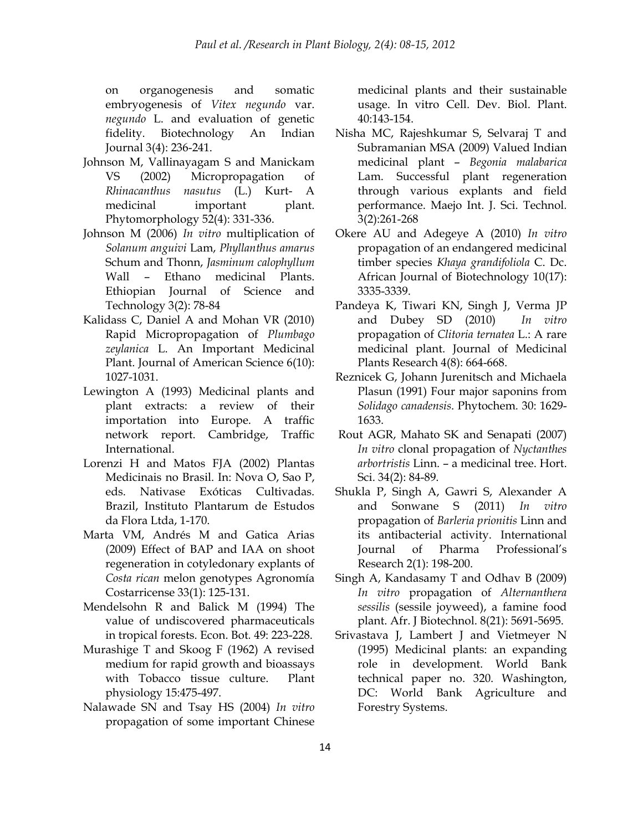on organogenesis and somatic embryogenesis of *Vitex negundo* var. *negundo* L. and evaluation of genetic fidelity. Biotechnology An Indian Journal 3(4): 236-241.

- Johnson M, Vallinayagam S and Manickam VS (2002) Micropropagation of *Rhinacanthus nasutus* (L.) Kurt- A medicinal important plant. Phytomorphology 52(4): 331-336.
- Johnson M (2006) *In vitro* multiplication of *Solanum anguivi* Lam, *Phyllanthus amarus*  Schum and Thonn, *Jasminum calophyllum*  Wall – Ethano medicinal Plants. Ethiopian Journal of Science and Technology 3(2): 78-84
- Kalidass C, Daniel A and Mohan VR (2010) Rapid Micropropagation of *Plumbago zeylanica* L. An Important Medicinal Plant. Journal of American Science 6(10): 1027-1031.
- Lewington A (1993) Medicinal plants and plant extracts: a review of their importation into Europe. A traffic network report. Cambridge, Traffic International.
- Lorenzi H and Matos FJA (2002) Plantas Medicinais no Brasil. In: Nova O, Sao P, eds. Nativase Exóticas Cultivadas. Brazil, Instituto Plantarum de Estudos da Flora Ltda, 1-170.
- Marta VM, Andrés M and Gatica Arias (2009) Effect of BAP and IAA on shoot regeneration in cotyledonary explants of *Costa rican* melon genotypes Agronomía Costarricense 33(1): 125-131.
- Mendelsohn R and Balick M (1994) The value of undiscovered pharmaceuticals in tropical forests. Econ. Bot*.* 49: 223-228.
- Murashige T and Skoog F (1962) A revised medium for rapid growth and bioassays with Tobacco tissue culture. Plant physiology 15:475-497.
- Nalawade SN and Tsay HS (2004) *In vitro* propagation of some important Chinese

medicinal plants and their sustainable usage. In vitro Cell. Dev. Biol. Plant. 40:143-154.

- Nisha MC, Rajeshkumar S, Selvaraj T and Subramanian MSA (2009) Valued Indian medicinal plant – *Begonia malabarica* Lam. Successful plant regeneration through various explants and field performance. Maejo Int. J. Sci. Technol*.* 3(2):261-268
- Okere AU and Adegeye A (2010) *In vitro* propagation of an endangered medicinal timber species *Khaya grandifoliola* C. Dc. African Journal of Biotechnology 10(17): 3335-3339.
- Pandeya K, Tiwari KN, Singh J, Verma JP and Dubey SD (2010) *In vitro* propagation of *Clitoria ternatea* L.: A rare medicinal plant. Journal of Medicinal Plants Research 4(8): 664-668.
- Reznicek G, Johann Jurenitsch and Michaela Plasun (1991) Four major saponins from *Solidago canadensis*. Phytochem*.* 30: 1629- 1633.
- Rout AGR, Mahato SK and Senapati (2007) *In vitro* clonal propagation of *Nyctanthes arbortristis* Linn. – a medicinal tree. Hort. Sci. 34(2): 84-89.
- Shukla P, Singh A, Gawri S, Alexander A and Sonwane S (2011) *In vitro* propagation of *Barleria prionitis* Linn and its antibacterial activity. International Journal of Pharma Professional's Research 2(1): 198-200.
- Singh A, Kandasamy T and Odhav B (2009) *In vitro* propagation of *Alternanthera sessilis* (sessile joyweed), a famine food plant. Afr. J Biotechnol. 8(21): 5691-5695.
- Srivastava J, Lambert J and Vietmeyer N (1995) Medicinal plants: an expanding role in development. World Bank technical paper no. 320. Washington, DC: World Bank Agriculture and Forestry Systems.